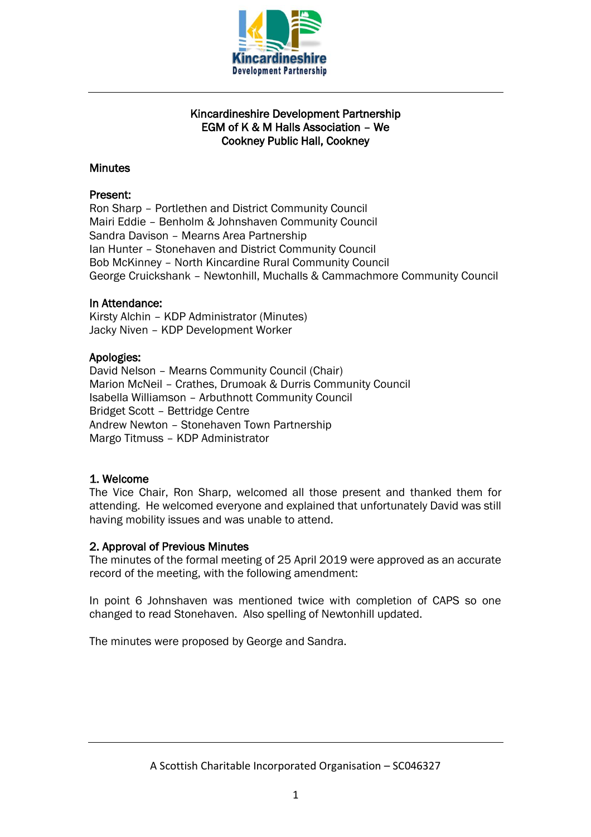

# Kincardineshire Development Partnership EGM of K & M Halls Association – We Cookney Public Hall, Cookney

# **Minutes**

# Present:

Ron Sharp – Portlethen and District Community Council Mairi Eddie – Benholm & Johnshaven Community Council Sandra Davison – Mearns Area Partnership Ian Hunter – Stonehaven and District Community Council Bob McKinney – North Kincardine Rural Community Council George Cruickshank – Newtonhill, Muchalls & Cammachmore Community Council

# In Attendance:

Kirsty Alchin – KDP Administrator (Minutes) Jacky Niven – KDP Development Worker

# Apologies:

David Nelson – Mearns Community Council (Chair) Marion McNeil – Crathes, Drumoak & Durris Community Council Isabella Williamson – Arbuthnott Community Council Bridget Scott – Bettridge Centre Andrew Newton – Stonehaven Town Partnership Margo Titmuss – KDP Administrator

# 1. Welcome

The Vice Chair, Ron Sharp, welcomed all those present and thanked them for attending. He welcomed everyone and explained that unfortunately David was still having mobility issues and was unable to attend.

### 2. Approval of Previous Minutes

The minutes of the formal meeting of 25 April 2019 were approved as an accurate record of the meeting, with the following amendment:

In point 6 Johnshaven was mentioned twice with completion of CAPS so one changed to read Stonehaven. Also spelling of Newtonhill updated.

The minutes were proposed by George and Sandra.

A Scottish Charitable Incorporated Organisation – SC046327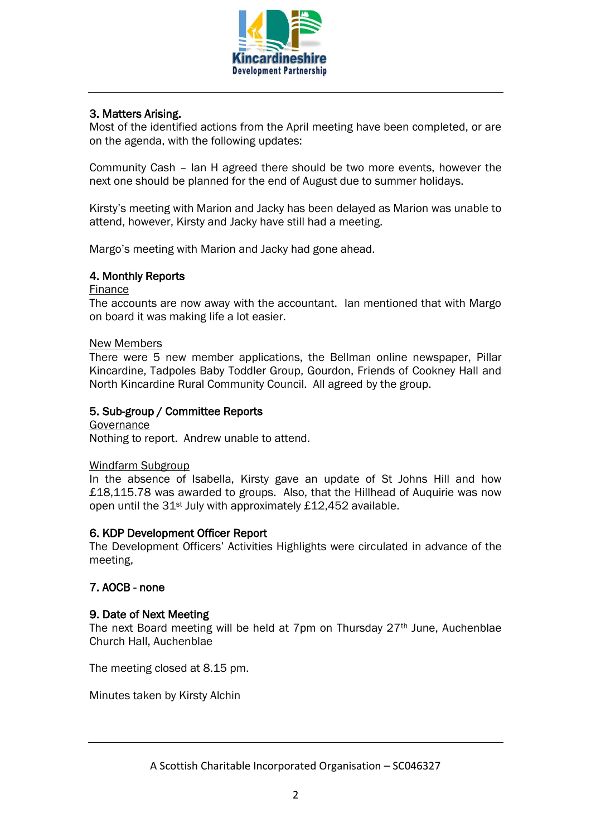

# 3. Matters Arising.

Most of the identified actions from the April meeting have been completed, or are on the agenda, with the following updates:

Community Cash – Ian H agreed there should be two more events, however the next one should be planned for the end of August due to summer holidays.

Kirsty's meeting with Marion and Jacky has been delayed as Marion was unable to attend, however, Kirsty and Jacky have still had a meeting.

Margo's meeting with Marion and Jacky had gone ahead.

# 4. Monthly Reports

#### Finance

The accounts are now away with the accountant. Ian mentioned that with Margo on board it was making life a lot easier.

#### New Members

There were 5 new member applications, the Bellman online newspaper, Pillar Kincardine, Tadpoles Baby Toddler Group, Gourdon, Friends of Cookney Hall and North Kincardine Rural Community Council. All agreed by the group.

### 5. Sub-group / Committee Reports

**Governance** Nothing to report. Andrew unable to attend.

### Windfarm Subgroup

In the absence of Isabella, Kirsty gave an update of St Johns Hill and how £18,115.78 was awarded to groups. Also, that the Hillhead of Auquirie was now open until the 31st July with approximately £12,452 available.

### 6. KDP Development Officer Report

The Development Officers' Activities Highlights were circulated in advance of the meeting,

### 7. AOCB - none

### 9. Date of Next Meeting

The next Board meeting will be held at 7pm on Thursday 27th June, Auchenblae Church Hall, Auchenblae

The meeting closed at 8.15 pm.

Minutes taken by Kirsty Alchin